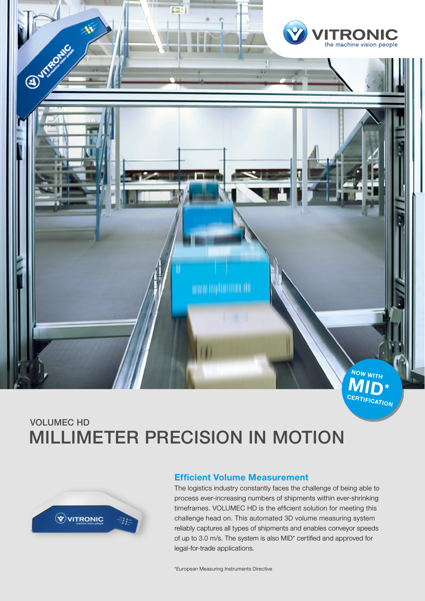

# VOLUMEC HD MILLIMETER PRECISION IN MOTION



#### **Efficient Volume Measurement**

The logistics industry constantly faces the challenge of being able to process ever-increasing numbers of shipments within ever-shrinking timeframes. VOLUMEC HD is the efficient solution for meeting this challenge head on. This automated 3D volume measuring system reliably captures all types of shipments and enables conveyor speeds of up to 3.0 m/s. The system is also MID\* certified and approved for legal-for-trade applications.

\*European Measuring Instruments Directive